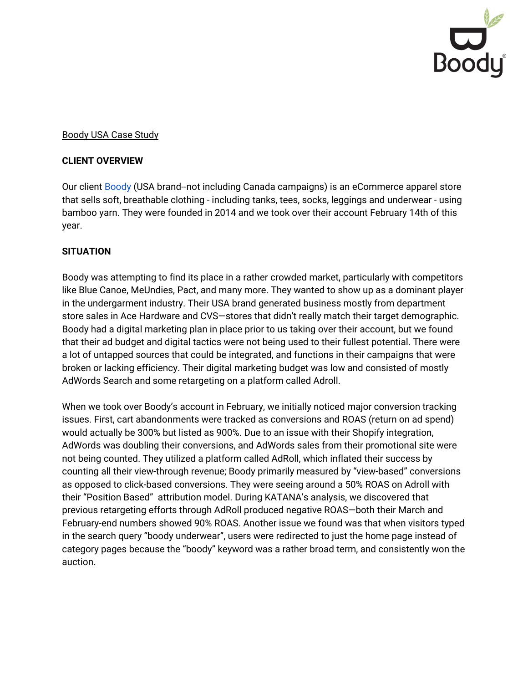

### Boody USA Case Study

#### **CLIENT OVERVIEW**

Our client [Boody](https://boodywear.com/) (USA brand--not including Canada campaigns) is an eCommerce apparel store that sells soft, breathable clothing - including tanks, tees, socks, leggings and underwear - using bamboo yarn. They were founded in 2014 and we took over their account February 14th of this year.

#### **SITUATION**

Boody was attempting to find its place in a rather crowded market, particularly with competitors like Blue Canoe, MeUndies, Pact, and many more. They wanted to show up as a dominant player in the undergarment industry. Their USA brand generated business mostly from department store sales in Ace Hardware and CVS—stores that didn't really match their target demographic. Boody had a digital marketing plan in place prior to us taking over their account, but we found that their ad budget and digital tactics were not being used to their fullest potential. There were a lot of untapped sources that could be integrated, and functions in their campaigns that were broken or lacking efficiency. Their digital marketing budget was low and consisted of mostly AdWords Search and some retargeting on a platform called Adroll.

When we took over Boody's account in February, we initially noticed major conversion tracking issues. First, cart abandonments were tracked as conversions and ROAS (return on ad spend) would actually be 300% but listed as 900%. Due to an issue with their Shopify integration, AdWords was doubling their conversions, and AdWords sales from their promotional site were not being counted. They utilized a platform called AdRoll, which inflated their success by counting all their view-through revenue; Boody primarily measured by "view-based" conversions as opposed to click-based conversions. They were seeing around a 50% ROAS on Adroll with their "Position Based" attribution model. During KATANA's analysis, we discovered that previous retargeting efforts through AdRoll produced negative ROAS—both their March and February-end numbers showed 90% ROAS. Another issue we found was that when visitors typed in the search query "boody underwear", users were redirected to just the home page instead of category pages because the "boody" keyword was a rather broad term, and consistently won the auction.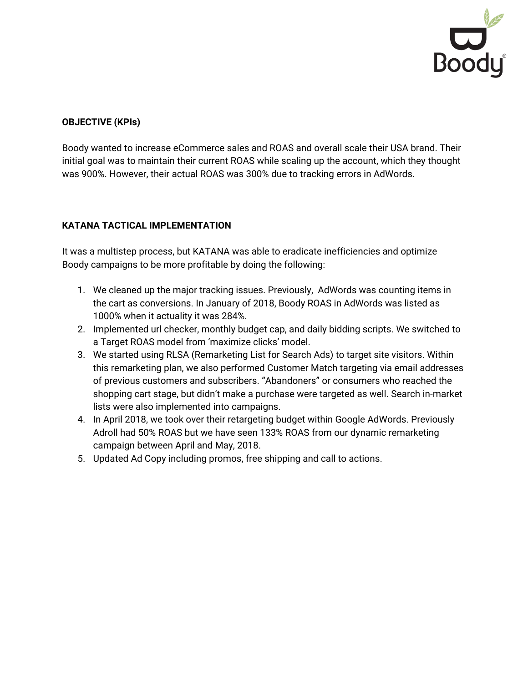

# **OBJECTIVE (KPIs)**

Boody wanted to increase eCommerce sales and ROAS and overall scale their USA brand. Their initial goal was to maintain their current ROAS while scaling up the account, which they thought was 900%. However, their actual ROAS was 300% due to tracking errors in AdWords.

# **KATANA TACTICAL IMPLEMENTATION**

It was a multistep process, but KATANA was able to eradicate inefficiencies and optimize Boody campaigns to be more profitable by doing the following:

- 1. We cleaned up the major tracking issues. Previously, AdWords was counting items in the cart as conversions. In January of 2018, Boody ROAS in AdWords was listed as 1000% when it actuality it was 284%.
- 2. Implemented url checker, monthly budget cap, and daily bidding scripts. We switched to a Target ROAS model from 'maximize clicks' model.
- 3. We started using RLSA (Remarketing List for Search Ads) to target site visitors. Within this remarketing plan, we also performed Customer Match targeting via email addresses of previous customers and subscribers. "Abandoners" or consumers who reached the shopping cart stage, but didn't make a purchase were targeted as well. Search in-market lists were also implemented into campaigns.
- 4. In April 2018, we took over their retargeting budget within Google AdWords. Previously Adroll had 50% ROAS but we have seen 133% ROAS from our dynamic remarketing campaign between April and May, 2018.
- 5. Updated Ad Copy including promos, free shipping and call to actions.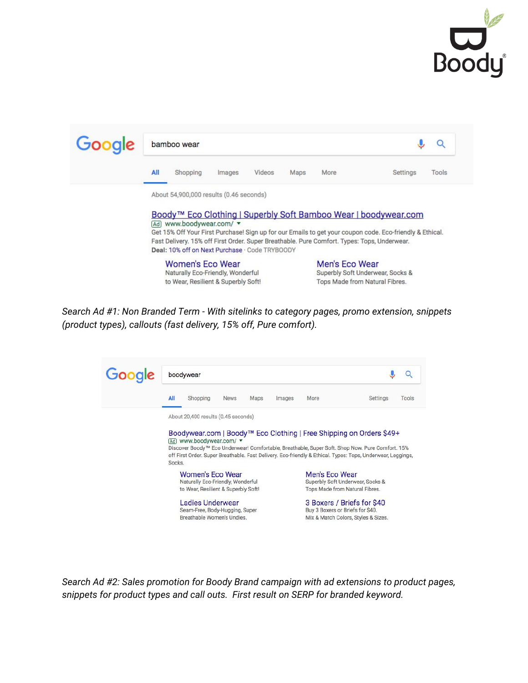

| Google |                                                                                                                                               | bamboo wear                         |        |        |      |                                |                                                                                                          |       |  |
|--------|-----------------------------------------------------------------------------------------------------------------------------------------------|-------------------------------------|--------|--------|------|--------------------------------|----------------------------------------------------------------------------------------------------------|-------|--|
|        | All                                                                                                                                           | Shopping                            | Images | Videos | Maps | <b>More</b>                    | Settings                                                                                                 | Tools |  |
|        | About 54,900,000 results (0.46 seconds)                                                                                                       |                                     |        |        |      |                                |                                                                                                          |       |  |
|        | Boody™ Eco Clothing   Superbly Soft Bamboo Wear   boodywear.com                                                                               |                                     |        |        |      |                                |                                                                                                          |       |  |
|        | Ad www.boodywear.com/ v                                                                                                                       |                                     |        |        |      |                                |                                                                                                          |       |  |
|        |                                                                                                                                               |                                     |        |        |      |                                | Get 15% Off Your First Purchase! Sign up for our Emails to get your coupon code. Eco-friendly & Ethical. |       |  |
|        | Fast Delivery. 15% off First Order. Super Breathable. Pure Comfort. Types: Tops, Underwear.<br>Deal: 10% off on Next Purchase · Code TRYBOODY |                                     |        |        |      |                                |                                                                                                          |       |  |
|        |                                                                                                                                               | Women's Eco Wear                    |        |        |      | Men's Eco Wear                 |                                                                                                          |       |  |
|        |                                                                                                                                               | Naturally Eco-Friendly, Wonderful   |        |        |      |                                | Superbly Soft Underwear, Socks &                                                                         |       |  |
|        |                                                                                                                                               | to Wear, Resilient & Superbly Soft! |        |        |      | Tops Made from Natural Fibres. |                                                                                                          |       |  |

*Search Ad #1: Non Branded Term - With sitelinks to category pages, promo extension, snippets (product types), callouts (fast delivery, 15% off, Pure comfort).*



*Search Ad #2: Sales promotion for Boody Brand campaign with ad extensions to product pages, snippets for product types and call outs. First result on SERP for branded keyword.*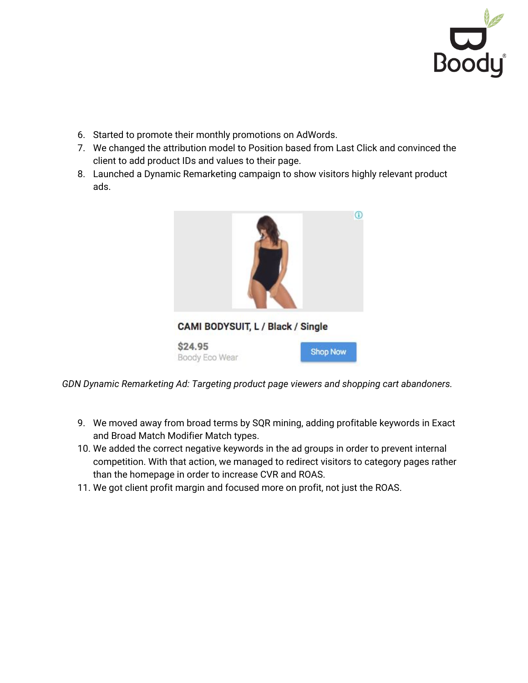

- 6. Started to promote their monthly promotions on AdWords.
- 7. We changed the attribution model to Position based from Last Click and convinced the client to add product IDs and values to their page.
- 8. Launched a Dynamic Remarketing campaign to show visitors highly relevant product ads.



\$24.95 Boody Eco Wear

|  | <b>Shop Now</b> |  |
|--|-----------------|--|
|  |                 |  |

*GDN Dynamic Remarketing Ad: Targeting product page viewers and shopping cart abandoners.*

- 9. We moved away from broad terms by SQR mining, adding profitable keywords in Exact and Broad Match Modifier Match types.
- 10. We added the correct negative keywords in the ad groups in order to prevent internal competition. With that action, we managed to redirect visitors to category pages rather than the homepage in order to increase CVR and ROAS.
- 11. We got client profit margin and focused more on profit, not just the ROAS.